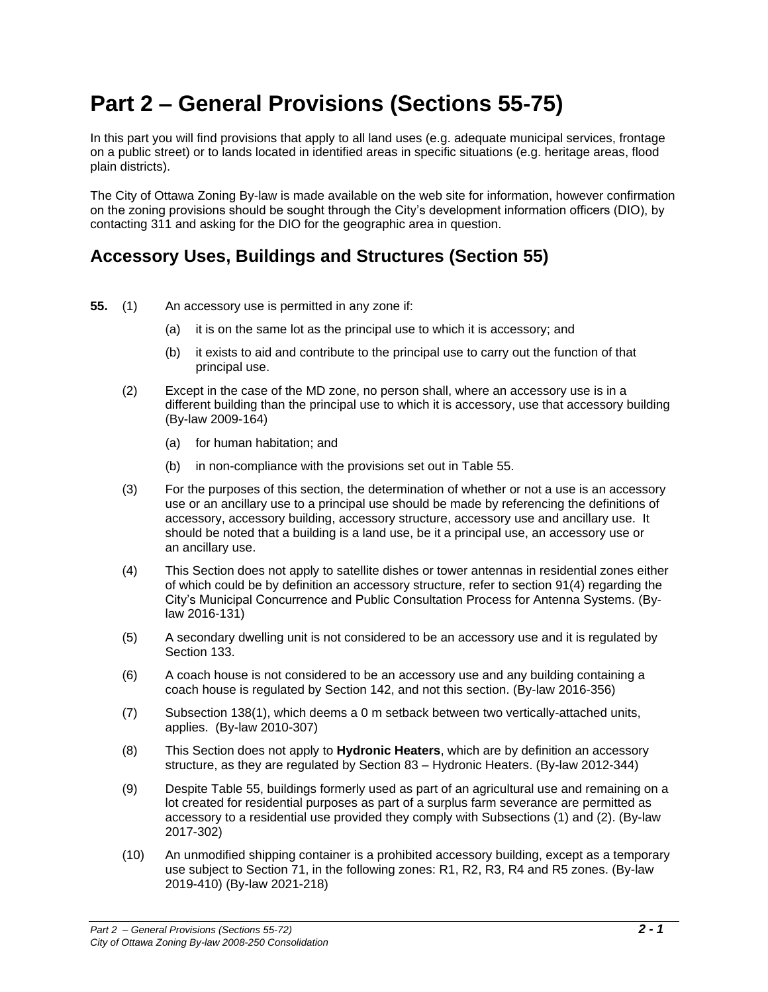# **Part 2 – General Provisions (Sections 55-75)**

In this part you will find provisions that apply to all land uses (e.g. adequate municipal services, frontage on a public street) or to lands located in identified areas in specific situations (e.g. heritage areas, flood plain districts).

The City of Ottawa Zoning By-law is made available on the web site for information, however confirmation on the zoning provisions should be sought through the City's development information officers (DIO), by contacting 311 and asking for the DIO for the geographic area in question.

## **Accessory Uses, Buildings and Structures (Section 55)**

- **55.** (1) An accessory use is permitted in any zone if:
	- (a) it is on the same lot as the principal use to which it is accessory; and
	- (b) it exists to aid and contribute to the principal use to carry out the function of that principal use.
	- (2) Except in the case of the MD zone, no person shall, where an accessory use is in a different building than the principal use to which it is accessory, use that accessory building (By-law 2009-164)
		- (a) for human habitation; and
		- (b) in non-compliance with the provisions set out in Table 55.
	- (3) For the purposes of this section, the determination of whether or not a use is an accessory use or an ancillary use to a principal use should be made by referencing the definitions of accessory, accessory building, accessory structure, accessory use and ancillary use. It should be noted that a building is a land use, be it a principal use, an accessory use or an ancillary use.
	- (4) This Section does not apply to satellite dishes or tower antennas in residential zones either of which could be by definition an accessory structure, refer to section 91(4) regarding the City's Municipal Concurrence and Public Consultation Process for Antenna Systems. (Bylaw 2016-131)
	- (5) A secondary dwelling unit is not considered to be an accessory use and it is regulated by Section 133.
	- (6) A coach house is not considered to be an accessory use and any building containing a coach house is regulated by Section 142, and not this section. (By-law 2016-356)
	- (7) Subsection 138(1), which deems a 0 m setback between two vertically-attached units, applies. (By-law 2010-307)
	- (8) This Section does not apply to **Hydronic Heaters**, which are by definition an accessory structure, as they are regulated by Section 83 – Hydronic Heaters. (By-law 2012-344)
	- (9) Despite Table 55, buildings formerly used as part of an agricultural use and remaining on a lot created for residential purposes as part of a surplus farm severance are permitted as accessory to a residential use provided they comply with Subsections (1) and (2). (By-law 2017-302)
	- (10) An unmodified shipping container is a prohibited accessory building, except as a temporary use subject to Section 71, in the following zones: R1, R2, R3, R4 and R5 zones. (By-law 2019-410) (By-law 2021-218)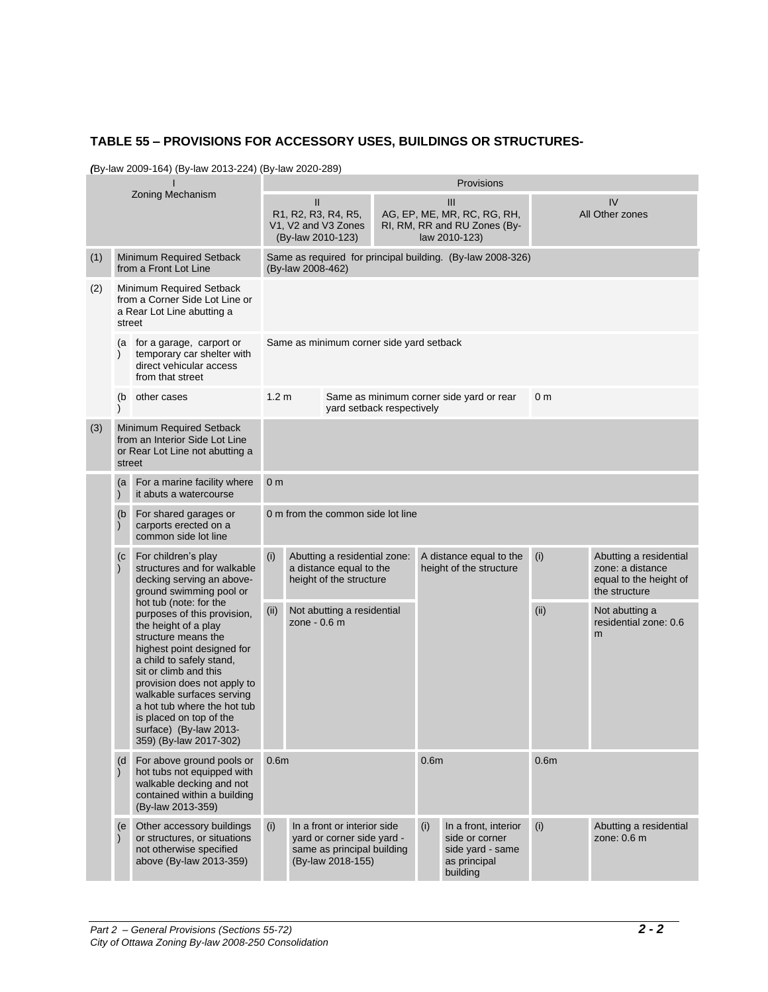#### **TABLE 55 – PROVISIONS FOR ACCESSORY USES, BUILDINGS OR STRUCTURES-**

*(*By-law 2009-164) (By-law 2013-224) (By-law 2020-289)

| Zoning Mechanism |                                                                                                    |                                                                                                                                                                                                                                                                                                                                                                                                                                                                                 | Provisions                                                                                                                                                             |                                               |                                                                                    |                                                                                        |                                                    |                                                            |      |                                                                                       |  |
|------------------|----------------------------------------------------------------------------------------------------|---------------------------------------------------------------------------------------------------------------------------------------------------------------------------------------------------------------------------------------------------------------------------------------------------------------------------------------------------------------------------------------------------------------------------------------------------------------------------------|------------------------------------------------------------------------------------------------------------------------------------------------------------------------|-----------------------------------------------|------------------------------------------------------------------------------------|----------------------------------------------------------------------------------------|----------------------------------------------------|------------------------------------------------------------|------|---------------------------------------------------------------------------------------|--|
|                  |                                                                                                    |                                                                                                                                                                                                                                                                                                                                                                                                                                                                                 | $\mathbf{I}$<br>III<br>R1, R2, R3, R4, R5,<br>AG, EP, ME, MR, RC, RG, RH,<br>V1, V2 and V3 Zones<br>RI, RM, RR and RU Zones (By-<br>(By-law 2010-123)<br>law 2010-123) |                                               |                                                                                    |                                                                                        |                                                    |                                                            |      | IV<br>All Other zones                                                                 |  |
| (1)              |                                                                                                    | Minimum Required Setback<br>from a Front Lot Line                                                                                                                                                                                                                                                                                                                                                                                                                               |                                                                                                                                                                        | (By-law 2008-462)                             |                                                                                    |                                                                                        |                                                    | Same as required for principal building. (By-law 2008-326) |      |                                                                                       |  |
| (2)              | Minimum Required Setback<br>from a Corner Side Lot Line or<br>a Rear Lot Line abutting a<br>street |                                                                                                                                                                                                                                                                                                                                                                                                                                                                                 |                                                                                                                                                                        |                                               |                                                                                    |                                                                                        |                                                    |                                                            |      |                                                                                       |  |
|                  | (a<br>$\lambda$                                                                                    | for a garage, carport or<br>temporary car shelter with<br>direct vehicular access<br>from that street                                                                                                                                                                                                                                                                                                                                                                           |                                                                                                                                                                        | Same as minimum corner side yard setback      |                                                                                    |                                                                                        |                                                    |                                                            |      |                                                                                       |  |
|                  | (b                                                                                                 | other cases                                                                                                                                                                                                                                                                                                                                                                                                                                                                     |                                                                                                                                                                        | 1.2 <sub>m</sub><br>yard setback respectively |                                                                                    |                                                                                        |                                                    | Same as minimum corner side yard or rear<br>0 <sub>m</sub> |      |                                                                                       |  |
| (3)              |                                                                                                    | Minimum Required Setback<br>from an Interior Side Lot Line<br>or Rear Lot Line not abutting a<br>street                                                                                                                                                                                                                                                                                                                                                                         |                                                                                                                                                                        |                                               |                                                                                    |                                                                                        |                                                    |                                                            |      |                                                                                       |  |
|                  | For a marine facility where<br>(a<br>it abuts a watercourse<br>$\mathcal{E}$                       |                                                                                                                                                                                                                                                                                                                                                                                                                                                                                 |                                                                                                                                                                        | 0 <sub>m</sub>                                |                                                                                    |                                                                                        |                                                    |                                                            |      |                                                                                       |  |
|                  | (b)<br>$\mathcal{E}$                                                                               | For shared garages or<br>carports erected on a<br>common side lot line                                                                                                                                                                                                                                                                                                                                                                                                          |                                                                                                                                                                        | 0 m from the common side lot line             |                                                                                    |                                                                                        |                                                    |                                                            |      |                                                                                       |  |
|                  | (c)<br>$\mathcal{E}$                                                                               | For children's play<br>structures and for walkable<br>decking serving an above-<br>ground swimming pool or<br>hot tub (note: for the<br>purposes of this provision,<br>the height of a play<br>structure means the<br>highest point designed for<br>a child to safely stand,<br>sit or climb and this<br>provision does not apply to<br>walkable surfaces serving<br>a hot tub where the hot tub<br>is placed on top of the<br>surface) (By-law 2013-<br>359) (By-law 2017-302) | (i)                                                                                                                                                                    |                                               | Abutting a residential zone:<br>a distance equal to the<br>height of the structure |                                                                                        | A distance equal to the<br>height of the structure |                                                            | (i)  | Abutting a residential<br>zone: a distance<br>equal to the height of<br>the structure |  |
|                  |                                                                                                    |                                                                                                                                                                                                                                                                                                                                                                                                                                                                                 | (ii)                                                                                                                                                                   | zone - 0.6 m                                  | Not abutting a residential                                                         |                                                                                        |                                                    |                                                            | (ii) | Not abutting a<br>residential zone: 0.6<br>m                                          |  |
|                  | (d)<br>$\mathcal{E}$                                                                               | For above ground pools or<br>hot tubs not equipped with<br>walkable decking and not<br>contained within a building<br>(By-law 2013-359)                                                                                                                                                                                                                                                                                                                                         | 0.6 <sub>m</sub>                                                                                                                                                       |                                               | 0.6 <sub>m</sub>                                                                   |                                                                                        | 0.6 <sub>m</sub>                                   |                                                            |      |                                                                                       |  |
|                  | (e                                                                                                 | Other accessory buildings<br>or structures, or situations<br>not otherwise specified<br>above (By-law 2013-359)                                                                                                                                                                                                                                                                                                                                                                 | In a front or interior side<br>(i)<br>yard or corner side yard -<br>same as principal building<br>(By-law 2018-155)                                                    |                                               | (i)                                                                                | In a front, interior<br>side or corner<br>side yard - same<br>as principal<br>building | (i)                                                | Abutting a residential<br>zone: $0.6$ m                    |      |                                                                                       |  |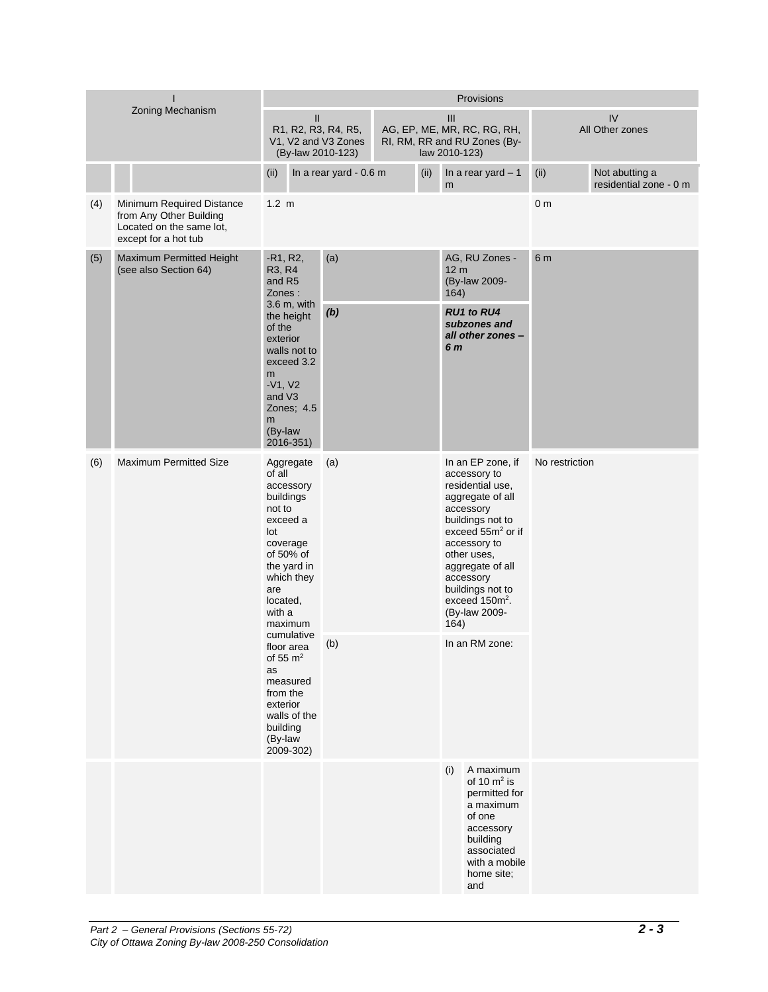| Zoning Mechanism |                                                                                                          | Provisions                                                                                                                                                                                                                                                                                                       |  |                                                                                     |  |      |                                |                                                                                                                                                                                                                                                                                                  |                |                                          |
|------------------|----------------------------------------------------------------------------------------------------------|------------------------------------------------------------------------------------------------------------------------------------------------------------------------------------------------------------------------------------------------------------------------------------------------------------------|--|-------------------------------------------------------------------------------------|--|------|--------------------------------|--------------------------------------------------------------------------------------------------------------------------------------------------------------------------------------------------------------------------------------------------------------------------------------------------|----------------|------------------------------------------|
|                  |                                                                                                          | $\mathbf{II}$<br>R1, R2, R3, R4, R5,<br>V1, V2 and V3 Zones<br>(By-law 2010-123)                                                                                                                                                                                                                                 |  | III<br>AG, EP, ME, MR, RC, RG, RH,<br>RI, RM, RR and RU Zones (By-<br>law 2010-123) |  |      |                                | IV<br>All Other zones                                                                                                                                                                                                                                                                            |                |                                          |
|                  |                                                                                                          | (ii)                                                                                                                                                                                                                                                                                                             |  | In a rear yard - 0.6 m                                                              |  | (ii) | m                              | In a rear yard $-1$                                                                                                                                                                                                                                                                              | (ii)           | Not abutting a<br>residential zone - 0 m |
| (4)              | Minimum Required Distance<br>from Any Other Building<br>Located on the same lot,<br>except for a hot tub | $1.2 \text{ m}$                                                                                                                                                                                                                                                                                                  |  |                                                                                     |  |      | 0 <sub>m</sub>                 |                                                                                                                                                                                                                                                                                                  |                |                                          |
| (5)              | Maximum Permitted Height<br>(see also Section 64)                                                        | $-R1, R2,$<br>R3, R4<br>and R5<br>Zones:<br>$3.6$ m, with<br>the height<br>of the<br>exterior<br>walls not to<br>exceed 3.2<br>m<br>$-V1, V2$<br>and V3<br>Zones; 4.5<br>m<br>(By-law<br>2016-351)                                                                                                               |  | (a)<br>(b)                                                                          |  |      | 12 <sub>m</sub><br>164)<br>6 m | AG, RU Zones -<br>(By-law 2009-<br><b>RU1 to RU4</b><br>subzones and<br>all other zones -                                                                                                                                                                                                        | 6 m            |                                          |
| (6)              | <b>Maximum Permitted Size</b>                                                                            | Aggregate<br>of all<br>accessory<br>buildings<br>not to<br>exceed a<br>lot<br>coverage<br>of 50% of<br>the yard in<br>which they<br>are<br>located,<br>with a<br>maximum<br>cumulative<br>floor area<br>of 55 $m2$<br>as<br>measured<br>from the<br>exterior<br>walls of the<br>building<br>(By-law<br>2009-302) |  | (a)<br>(b)                                                                          |  |      | 164)                           | In an EP zone, if<br>accessory to<br>residential use,<br>aggregate of all<br>accessory<br>buildings not to<br>exceed 55m <sup>2</sup> or if<br>accessory to<br>other uses,<br>aggregate of all<br>accessory<br>buildings not to<br>exceed 150m <sup>2</sup> .<br>(By-law 2009-<br>In an RM zone: | No restriction |                                          |
|                  |                                                                                                          |                                                                                                                                                                                                                                                                                                                  |  |                                                                                     |  |      | (i)                            | A maximum<br>of 10 $m2$ is<br>permitted for<br>a maximum<br>of one<br>accessory<br>building<br>associated<br>with a mobile<br>home site;<br>and                                                                                                                                                  |                |                                          |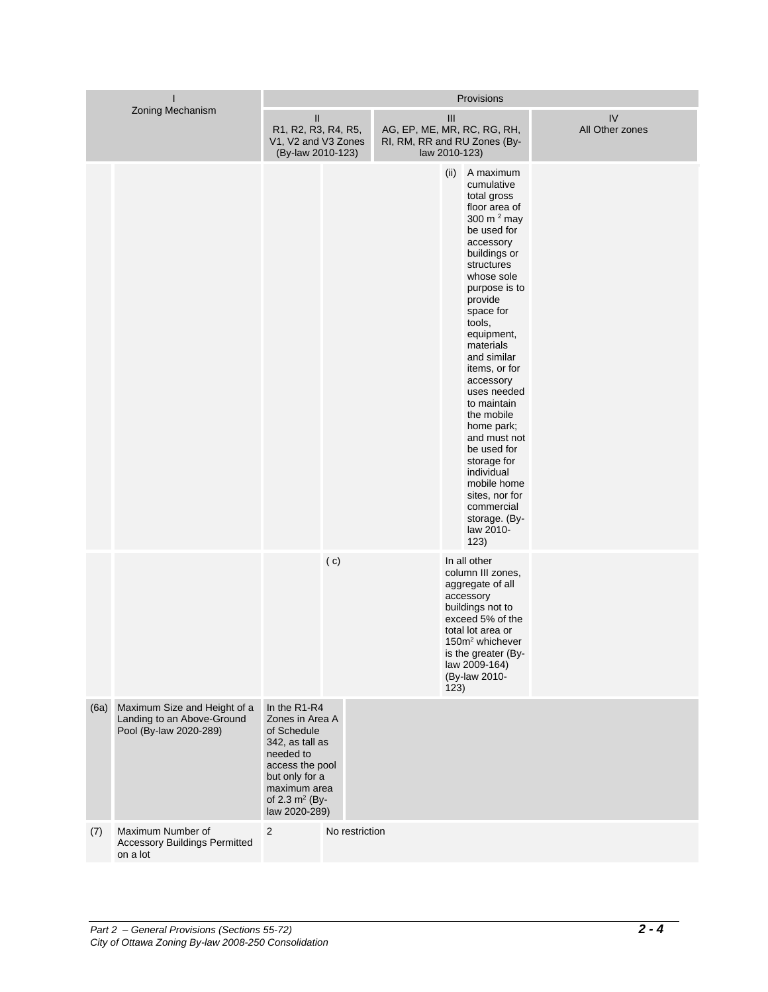| Zoning Mechanism |                                                                                      | Provisions                                                                                                                                                                |                |  |      |                                                                                                                                                                                                                                                                                                                                                                                                                                                                                                 |                               |  |  |  |
|------------------|--------------------------------------------------------------------------------------|---------------------------------------------------------------------------------------------------------------------------------------------------------------------------|----------------|--|------|-------------------------------------------------------------------------------------------------------------------------------------------------------------------------------------------------------------------------------------------------------------------------------------------------------------------------------------------------------------------------------------------------------------------------------------------------------------------------------------------------|-------------------------------|--|--|--|
|                  |                                                                                      | $\mathsf{II}$<br>R1, R2, R3, R4, R5,<br>V1, V2 and V3 Zones<br>(By-law 2010-123)                                                                                          |                |  | III  | AG, EP, ME, MR, RC, RG, RH,<br>RI, RM, RR and RU Zones (By-<br>law 2010-123)                                                                                                                                                                                                                                                                                                                                                                                                                    | ${\sf IV}$<br>All Other zones |  |  |  |
|                  |                                                                                      |                                                                                                                                                                           |                |  | (ii) | A maximum<br>cumulative<br>total gross<br>floor area of<br>300 m <sup>2</sup> may<br>be used for<br>accessory<br>buildings or<br>structures<br>whose sole<br>purpose is to<br>provide<br>space for<br>tools,<br>equipment,<br>materials<br>and similar<br>items, or for<br>accessory<br>uses needed<br>to maintain<br>the mobile<br>home park;<br>and must not<br>be used for<br>storage for<br>individual<br>mobile home<br>sites, nor for<br>commercial<br>storage. (By-<br>law 2010-<br>123) |                               |  |  |  |
|                  |                                                                                      |                                                                                                                                                                           | (c)            |  | 123) | In all other<br>column III zones,<br>aggregate of all<br>accessory<br>buildings not to<br>exceed 5% of the<br>total lot area or<br>150m <sup>2</sup> whichever<br>is the greater (By-<br>law 2009-164)<br>(By-law 2010-                                                                                                                                                                                                                                                                         |                               |  |  |  |
| (6a)             | Maximum Size and Height of a<br>Landing to an Above-Ground<br>Pool (By-law 2020-289) | In the R1-R4<br>Zones in Area A<br>of Schedule<br>342, as tall as<br>needed to<br>access the pool<br>but only for a<br>maximum area<br>of 2.3 $m^2$ (By-<br>law 2020-289) |                |  |      |                                                                                                                                                                                                                                                                                                                                                                                                                                                                                                 |                               |  |  |  |
| (7)              | Maximum Number of<br><b>Accessory Buildings Permitted</b><br>on a lot                | 2                                                                                                                                                                         | No restriction |  |      |                                                                                                                                                                                                                                                                                                                                                                                                                                                                                                 |                               |  |  |  |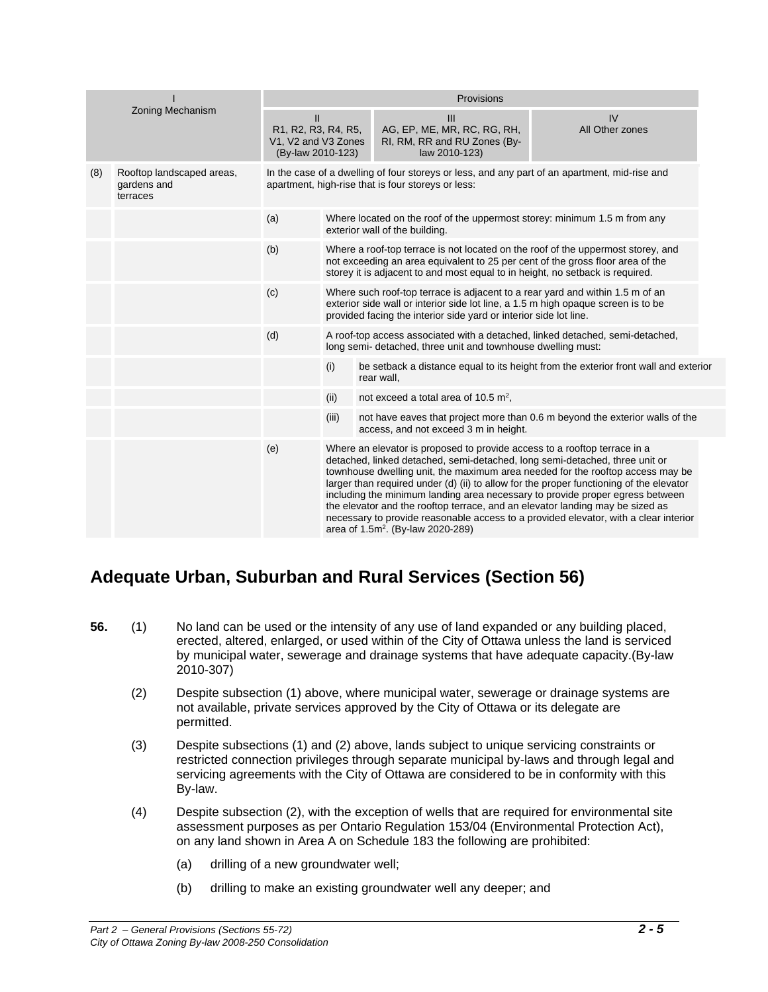|     |                                                      | Provisions                                                                      |       |                                                                                                                                                                                                                                                                                                                                                                                                                                                                        |                                                                                                                                                                        |  |  |  |  |  |
|-----|------------------------------------------------------|---------------------------------------------------------------------------------|-------|------------------------------------------------------------------------------------------------------------------------------------------------------------------------------------------------------------------------------------------------------------------------------------------------------------------------------------------------------------------------------------------------------------------------------------------------------------------------|------------------------------------------------------------------------------------------------------------------------------------------------------------------------|--|--|--|--|--|
|     | Zoning Mechanism                                     | $\mathbf{I}$<br>R1, R2, R3, R4, R5,<br>V1, V2 and V3 Zones<br>(By-law 2010-123) |       | $\mathbf{III}$<br>AG, EP, ME, MR, RC, RG, RH,<br>RI, RM, RR and RU Zones (By-<br>law 2010-123)                                                                                                                                                                                                                                                                                                                                                                         | IV<br>All Other zones                                                                                                                                                  |  |  |  |  |  |
| (8) | Rooftop landscaped areas,<br>gardens and<br>terraces |                                                                                 |       | In the case of a dwelling of four storeys or less, and any part of an apartment, mid-rise and<br>apartment, high-rise that is four storeys or less:                                                                                                                                                                                                                                                                                                                    |                                                                                                                                                                        |  |  |  |  |  |
|     |                                                      | (a)                                                                             |       | Where located on the roof of the uppermost storey: minimum 1.5 m from any<br>exterior wall of the building.                                                                                                                                                                                                                                                                                                                                                            |                                                                                                                                                                        |  |  |  |  |  |
|     |                                                      | (b)                                                                             |       | Where a roof-top terrace is not located on the roof of the uppermost storey, and<br>not exceeding an area equivalent to 25 per cent of the gross floor area of the<br>storey it is adjacent to and most equal to in height, no setback is required.                                                                                                                                                                                                                    |                                                                                                                                                                        |  |  |  |  |  |
|     |                                                      | (c)                                                                             |       | Where such roof-top terrace is adjacent to a rear yard and within 1.5 m of an<br>exterior side wall or interior side lot line, a 1.5 m high opaque screen is to be<br>provided facing the interior side yard or interior side lot line.                                                                                                                                                                                                                                |                                                                                                                                                                        |  |  |  |  |  |
|     |                                                      | (d)                                                                             |       | A roof-top access associated with a detached, linked detached, semi-detached,<br>long semi-detached, three unit and townhouse dwelling must:                                                                                                                                                                                                                                                                                                                           |                                                                                                                                                                        |  |  |  |  |  |
|     |                                                      |                                                                                 | (i)   | rear wall,                                                                                                                                                                                                                                                                                                                                                                                                                                                             | be setback a distance equal to its height from the exterior front wall and exterior                                                                                    |  |  |  |  |  |
|     |                                                      |                                                                                 | (ii)  | not exceed a total area of 10.5 $m^2$ ,                                                                                                                                                                                                                                                                                                                                                                                                                                |                                                                                                                                                                        |  |  |  |  |  |
|     |                                                      |                                                                                 | (iii) | access, and not exceed 3 m in height.                                                                                                                                                                                                                                                                                                                                                                                                                                  | not have eaves that project more than 0.6 m beyond the exterior walls of the                                                                                           |  |  |  |  |  |
|     |                                                      | (e)                                                                             |       | Where an elevator is proposed to provide access to a rooftop terrace in a<br>detached, linked detached, semi-detached, long semi-detached, three unit or<br>larger than required under (d) (ii) to allow for the proper functioning of the elevator<br>including the minimum landing area necessary to provide proper egress between<br>the elevator and the rooftop terrace, and an elevator landing may be sized as<br>area of 1.5m <sup>2</sup> . (By-law 2020-289) | townhouse dwelling unit, the maximum area needed for the rooftop access may be<br>necessary to provide reasonable access to a provided elevator, with a clear interior |  |  |  |  |  |

## **Adequate Urban, Suburban and Rural Services (Section 56)**

- **56.** (1) No land can be used or the intensity of any use of land expanded or any building placed, erected, altered, enlarged, or used within of the City of Ottawa unless the land is serviced by municipal water, sewerage and drainage systems that have adequate capacity.(By-law 2010-307)
	- (2) Despite subsection (1) above, where municipal water, sewerage or drainage systems are not available, private services approved by the City of Ottawa or its delegate are permitted.
	- (3) Despite subsections (1) and (2) above, lands subject to unique servicing constraints or restricted connection privileges through separate municipal by-laws and through legal and servicing agreements with the City of Ottawa are considered to be in conformity with this By-law.
	- (4) Despite subsection (2), with the exception of wells that are required for environmental site assessment purposes as per Ontario Regulation 153/04 (Environmental Protection Act), on any land shown in Area A on Schedule 183 the following are prohibited:
		- (a) drilling of a new groundwater well;
		- (b) drilling to make an existing groundwater well any deeper; and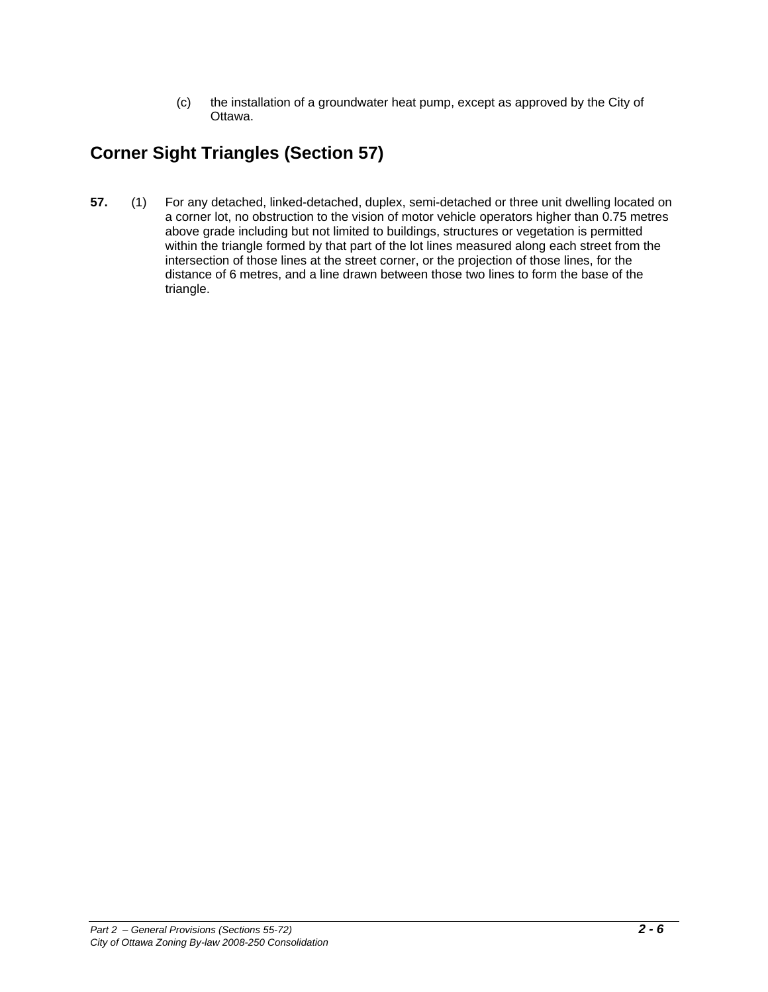(c) the installation of a groundwater heat pump, except as approved by the City of Ottawa.

# **Corner Sight Triangles (Section 57)**

**57.** (1) For any detached, linked-detached, duplex, semi-detached or three unit dwelling located on a corner lot, no obstruction to the vision of motor vehicle operators higher than 0.75 metres above grade including but not limited to buildings, structures or vegetation is permitted within the triangle formed by that part of the lot lines measured along each street from the intersection of those lines at the street corner, or the projection of those lines, for the distance of 6 metres, and a line drawn between those two lines to form the base of the triangle.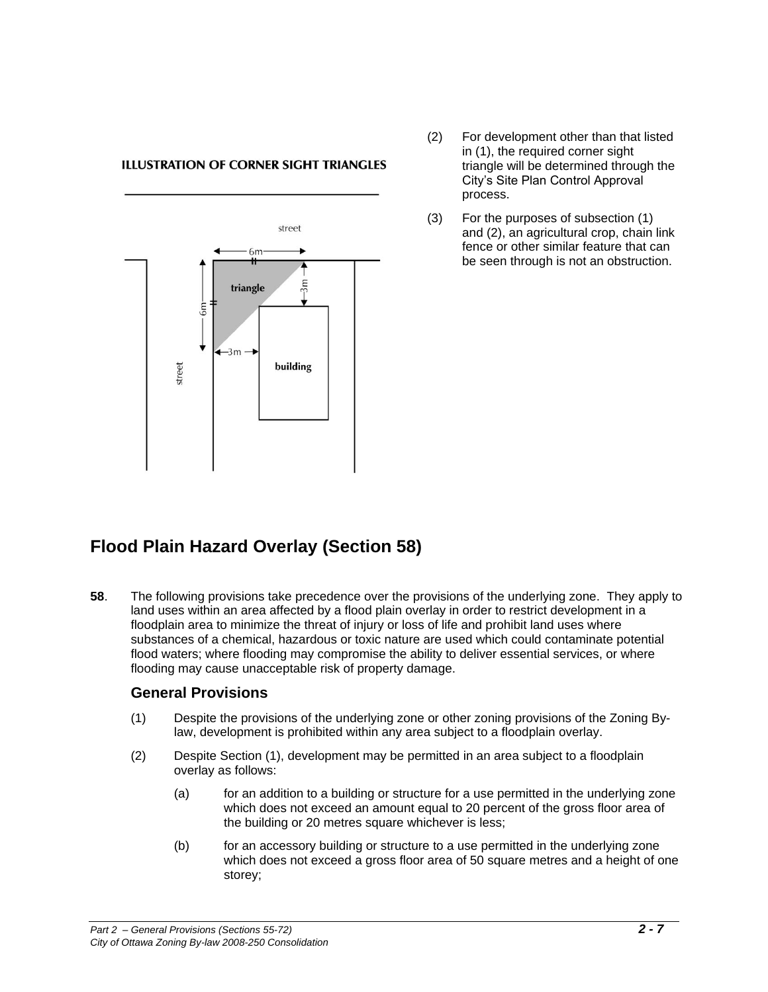#### **ILLUSTRATION OF CORNER SIGHT TRIANGLES**



- (2) For development other than that listed in (1), the required corner sight triangle will be determined through the City's Site Plan Control Approval process.
- (3) For the purposes of subsection (1) and (2), an agricultural crop, chain link fence or other similar feature that can be seen through is not an obstruction.

# **Flood Plain Hazard Overlay (Section 58)**

**58**. The following provisions take precedence over the provisions of the underlying zone. They apply to land uses within an area affected by a flood plain overlay in order to restrict development in a floodplain area to minimize the threat of injury or loss of life and prohibit land uses where substances of a chemical, hazardous or toxic nature are used which could contaminate potential flood waters; where flooding may compromise the ability to deliver essential services, or where flooding may cause unacceptable risk of property damage.

#### **General Provisions**

- (1) Despite the provisions of the underlying zone or other zoning provisions of the Zoning Bylaw, development is prohibited within any area subject to a floodplain overlay.
- (2) Despite Section (1), development may be permitted in an area subject to a floodplain overlay as follows:
	- (a) for an addition to a building or structure for a use permitted in the underlying zone which does not exceed an amount equal to 20 percent of the gross floor area of the building or 20 metres square whichever is less;
	- (b) for an accessory building or structure to a use permitted in the underlying zone which does not exceed a gross floor area of 50 square metres and a height of one storey;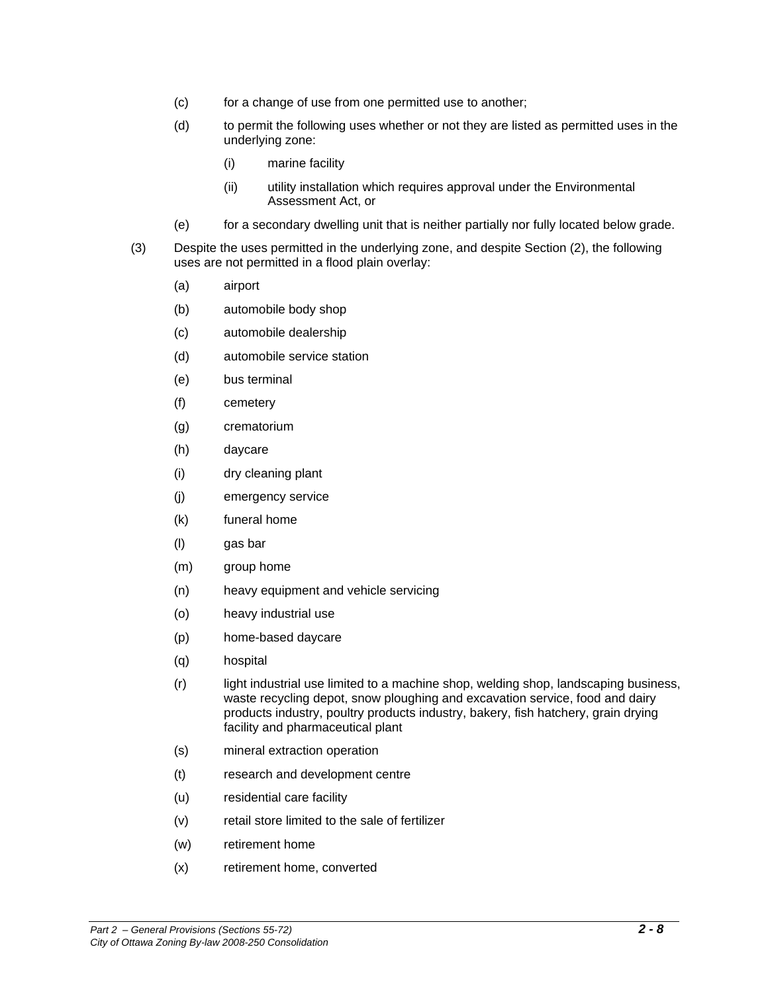- (c) for a change of use from one permitted use to another;
- (d) to permit the following uses whether or not they are listed as permitted uses in the underlying zone:
	- (i) marine facility
	- (ii) utility installation which requires approval under the Environmental Assessment Act, or
- (e) for a secondary dwelling unit that is neither partially nor fully located below grade.
- (3) Despite the uses permitted in the underlying zone, and despite Section (2), the following uses are not permitted in a flood plain overlay:
	- (a) airport
	- (b) automobile body shop
	- (c) automobile dealership
	- (d) automobile service station
	- (e) bus terminal
	- (f) cemetery
	- (g) crematorium
	- (h) daycare
	- (i) dry cleaning plant
	- (j) emergency service
	- (k) funeral home
	- (l) gas bar
	- (m) group home
	- (n) heavy equipment and vehicle servicing
	- (o) heavy industrial use
	- (p) home-based daycare
	- (q) hospital
	- (r) light industrial use limited to a machine shop, welding shop, landscaping business, waste recycling depot, snow ploughing and excavation service, food and dairy products industry, poultry products industry, bakery, fish hatchery, grain drying facility and pharmaceutical plant
	- (s) mineral extraction operation
	- (t) research and development centre
	- (u) residential care facility
	- (v) retail store limited to the sale of fertilizer
	- (w) retirement home
	- (x) retirement home, converted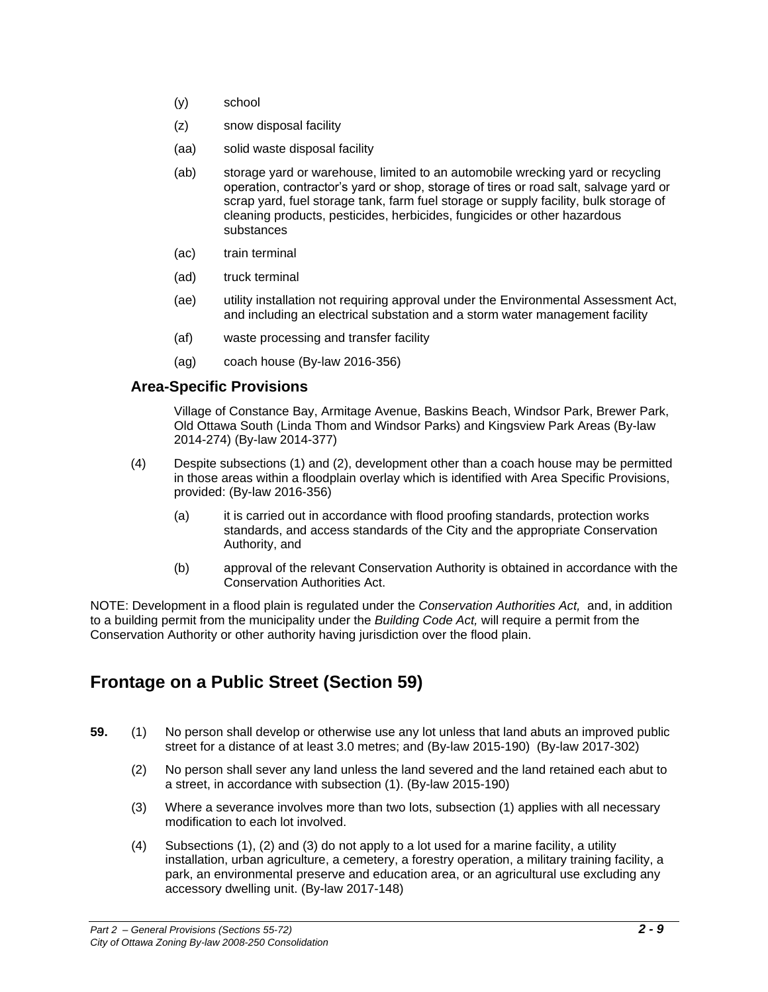- (y) school
- (z) snow disposal facility
- (aa) solid waste disposal facility
- (ab) storage yard or warehouse, limited to an automobile wrecking yard or recycling operation, contractor's yard or shop, storage of tires or road salt, salvage yard or scrap yard, fuel storage tank, farm fuel storage or supply facility, bulk storage of cleaning products, pesticides, herbicides, fungicides or other hazardous substances
- (ac) train terminal
- (ad) truck terminal
- (ae) utility installation not requiring approval under the Environmental Assessment Act, and including an electrical substation and a storm water management facility
- (af) waste processing and transfer facility
- (ag) coach house (By-law 2016-356)

#### **Area-Specific Provisions**

Village of Constance Bay, Armitage Avenue, Baskins Beach, Windsor Park, Brewer Park, Old Ottawa South (Linda Thom and Windsor Parks) and Kingsview Park Areas (By-law 2014-274) (By-law 2014-377)

- (4) Despite subsections (1) and (2), development other than a coach house may be permitted in those areas within a floodplain overlay which is identified with Area Specific Provisions, provided: (By-law 2016-356)
	- (a) it is carried out in accordance with flood proofing standards, protection works standards, and access standards of the City and the appropriate Conservation Authority, and
	- (b) approval of the relevant Conservation Authority is obtained in accordance with the Conservation Authorities Act.

NOTE: Development in a flood plain is regulated under the *Conservation Authorities Act,* and, in addition to a building permit from the municipality under the *Building Code Act,* will require a permit from the Conservation Authority or other authority having jurisdiction over the flood plain.

# **Frontage on a Public Street (Section 59)**

- **59.** (1) No person shall develop or otherwise use any lot unless that land abuts an improved public street for a distance of at least 3.0 metres; and (By-law 2015-190) (By-law 2017-302)
	- (2) No person shall sever any land unless the land severed and the land retained each abut to a street, in accordance with subsection (1). (By-law 2015-190)
	- (3) Where a severance involves more than two lots, subsection (1) applies with all necessary modification to each lot involved.
	- (4) Subsections (1), (2) and (3) do not apply to a lot used for a marine facility, a utility installation, urban agriculture, a cemetery, a forestry operation, a military training facility, a park, an environmental preserve and education area, or an agricultural use excluding any accessory dwelling unit. (By-law 2017-148)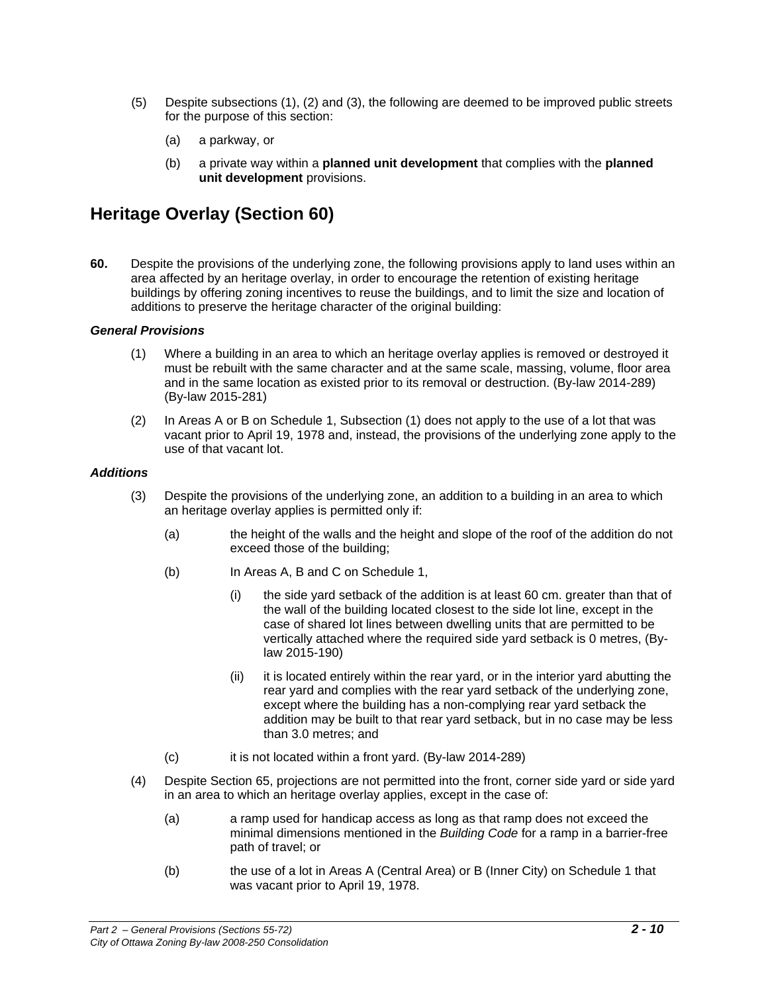- (5) Despite subsections (1), (2) and (3), the following are deemed to be improved public streets for the purpose of this section:
	- (a) a parkway, or
	- (b) a private way within a **planned unit development** that complies with the **planned unit development** provisions.

#### **Heritage Overlay (Section 60)**

**60.** Despite the provisions of the underlying zone, the following provisions apply to land uses within an area affected by an heritage overlay, in order to encourage the retention of existing heritage buildings by offering zoning incentives to reuse the buildings, and to limit the size and location of additions to preserve the heritage character of the original building:

#### *General Provisions*

- (1) Where a building in an area to which an heritage overlay applies is removed or destroyed it must be rebuilt with the same character and at the same scale, massing, volume, floor area and in the same location as existed prior to its removal or destruction. (By-law 2014-289) (By-law 2015-281)
- (2) In Areas A or B on Schedule 1, Subsection (1) does not apply to the use of a lot that was vacant prior to April 19, 1978 and, instead, the provisions of the underlying zone apply to the use of that vacant lot.

#### *Additions*

- (3) Despite the provisions of the underlying zone, an addition to a building in an area to which an heritage overlay applies is permitted only if:
	- (a) the height of the walls and the height and slope of the roof of the addition do not exceed those of the building;
	- (b) In Areas A, B and C on Schedule 1,
		- (i) the side yard setback of the addition is at least 60 cm. greater than that of the wall of the building located closest to the side lot line, except in the case of shared lot lines between dwelling units that are permitted to be vertically attached where the required side yard setback is 0 metres, (Bylaw 2015-190)
		- (ii) it is located entirely within the rear yard, or in the interior yard abutting the rear yard and complies with the rear yard setback of the underlying zone, except where the building has a non-complying rear yard setback the addition may be built to that rear yard setback, but in no case may be less than 3.0 metres; and
	- (c) it is not located within a front yard. (By-law 2014-289)
- (4) Despite Section 65, projections are not permitted into the front, corner side yard or side yard in an area to which an heritage overlay applies, except in the case of:
	- (a) a ramp used for handicap access as long as that ramp does not exceed the minimal dimensions mentioned in the *Building Code* for a ramp in a barrier-free path of travel; or
	- (b) the use of a lot in Areas A (Central Area) or B (Inner City) on Schedule 1 that was vacant prior to April 19, 1978.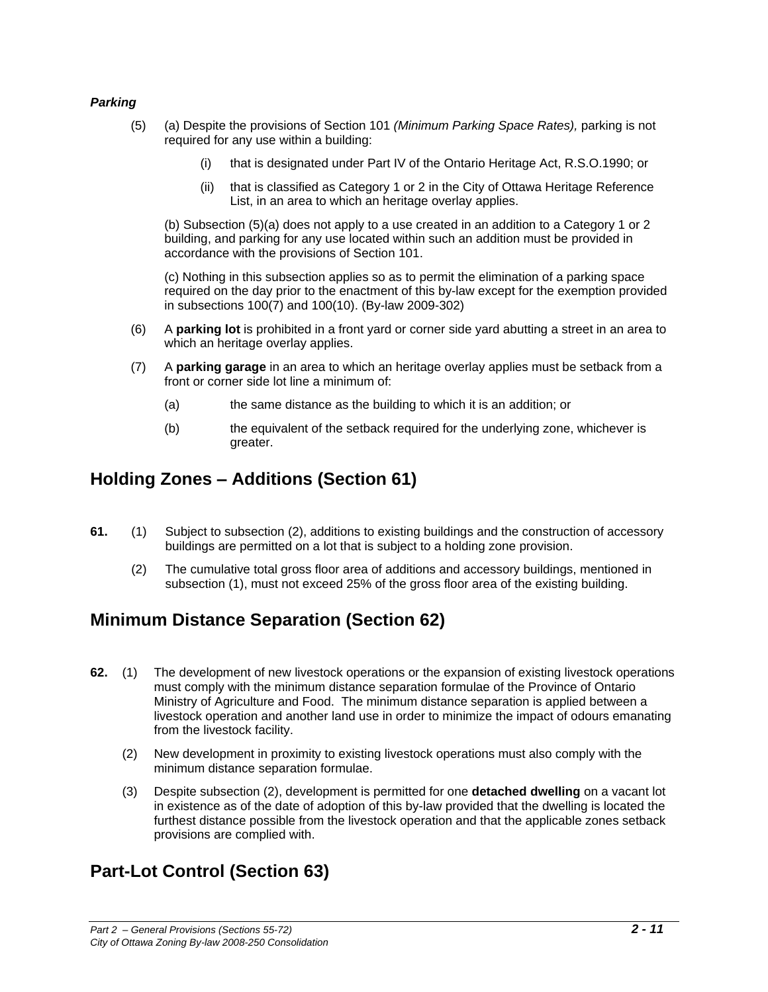#### *Parking*

- (5) (a) Despite the provisions of Section 101 *(Minimum Parking Space Rates),* parking is not required for any use within a building:
	- (i) that is designated under Part IV of the Ontario Heritage Act, R.S.O.1990; or
	- (ii) that is classified as Category 1 or 2 in the City of Ottawa Heritage Reference List, in an area to which an heritage overlay applies.

(b) Subsection (5)(a) does not apply to a use created in an addition to a Category 1 or 2 building, and parking for any use located within such an addition must be provided in accordance with the provisions of Section 101.

(c) Nothing in this subsection applies so as to permit the elimination of a parking space required on the day prior to the enactment of this by-law except for the exemption provided in subsections 100(7) and 100(10). (By-law 2009-302)

- (6) A **parking lot** is prohibited in a front yard or corner side yard abutting a street in an area to which an heritage overlay applies.
- (7) A **parking garage** in an area to which an heritage overlay applies must be setback from a front or corner side lot line a minimum of:
	- (a) the same distance as the building to which it is an addition; or
	- (b) the equivalent of the setback required for the underlying zone, whichever is greater.

#### **Holding Zones – Additions (Section 61)**

- **61.** (1) Subject to subsection (2), additions to existing buildings and the construction of accessory buildings are permitted on a lot that is subject to a holding zone provision.
	- (2) The cumulative total gross floor area of additions and accessory buildings, mentioned in subsection (1), must not exceed 25% of the gross floor area of the existing building.

## **Minimum Distance Separation (Section 62)**

- **62.** (1) The development of new livestock operations or the expansion of existing livestock operations must comply with the minimum distance separation formulae of the Province of Ontario Ministry of Agriculture and Food. The minimum distance separation is applied between a livestock operation and another land use in order to minimize the impact of odours emanating from the livestock facility.
	- (2) New development in proximity to existing livestock operations must also comply with the minimum distance separation formulae.
	- (3) Despite subsection (2), development is permitted for one **detached dwelling** on a vacant lot in existence as of the date of adoption of this by-law provided that the dwelling is located the furthest distance possible from the livestock operation and that the applicable zones setback provisions are complied with.

## **Part-Lot Control (Section 63)**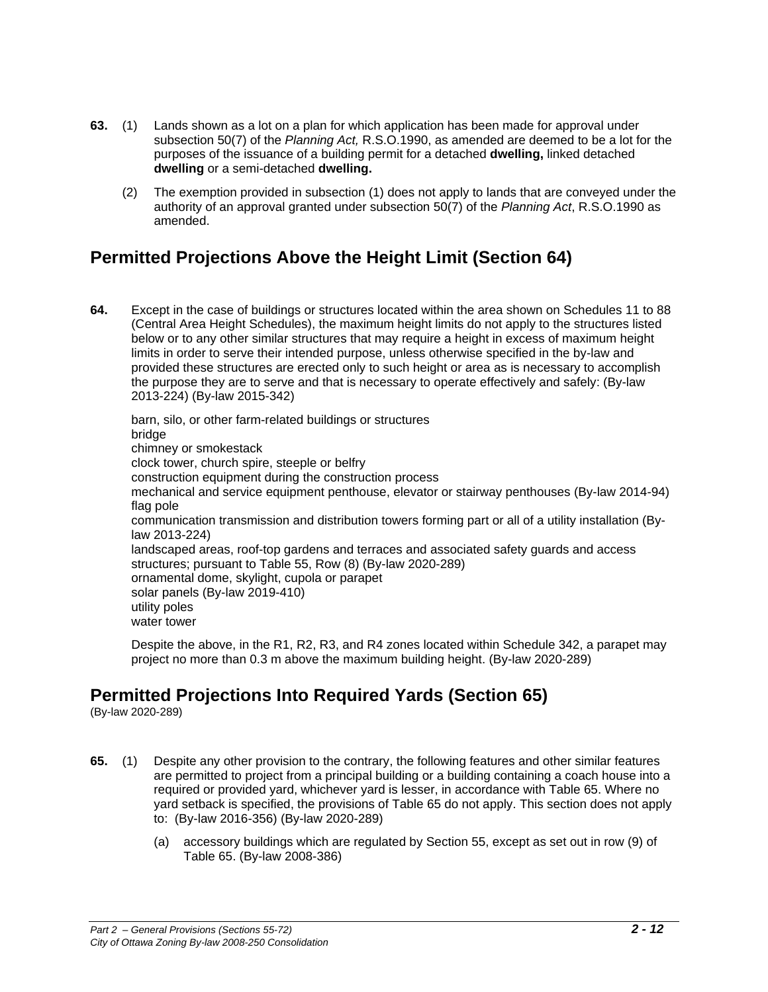- **63.** (1) Lands shown as a lot on a plan for which application has been made for approval under subsection 50(7) of the *Planning Act,* R.S.O.1990, as amended are deemed to be a lot for the purposes of the issuance of a building permit for a detached **dwelling,** linked detached **dwelling** or a semi-detached **dwelling.**
	- (2) The exemption provided in subsection (1) does not apply to lands that are conveyed under the authority of an approval granted under subsection 50(7) of the *Planning Act*, R.S.O.1990 as amended.

# **Permitted Projections Above the Height Limit (Section 64)**

**64.** Except in the case of buildings or structures located within the area shown on Schedules 11 to 88 (Central Area Height Schedules), the maximum height limits do not apply to the structures listed below or to any other similar structures that may require a height in excess of maximum height limits in order to serve their intended purpose, unless otherwise specified in the by-law and provided these structures are erected only to such height or area as is necessary to accomplish the purpose they are to serve and that is necessary to operate effectively and safely: (By-law 2013-224) (By-law 2015-342)

barn, silo, or other farm-related buildings or structures bridge chimney or smokestack clock tower, church spire, steeple or belfry construction equipment during the construction process mechanical and service equipment penthouse, elevator or stairway penthouses (By-law 2014-94) flag pole communication transmission and distribution towers forming part or all of a utility installation (Bylaw 2013-224) landscaped areas, roof-top gardens and terraces and associated safety guards and access structures; pursuant to Table 55, Row (8) (By-law 2020-289) ornamental dome, skylight, cupola or parapet solar panels (By-law 2019-410) utility poles water tower

Despite the above, in the R1, R2, R3, and R4 zones located within Schedule 342, a parapet may project no more than 0.3 m above the maximum building height. (By-law 2020-289)

## **Permitted Projections Into Required Yards (Section 65)**

(By-law 2020-289)

- **65.** (1) Despite any other provision to the contrary, the following features and other similar features are permitted to project from a principal building or a building containing a coach house into a required or provided yard, whichever yard is lesser, in accordance with Table 65. Where no yard setback is specified, the provisions of Table 65 do not apply. This section does not apply to: (By-law 2016-356) (By-law 2020-289)
	- (a) accessory buildings which are regulated by Section 55, except as set out in row (9) of Table 65. (By-law 2008-386)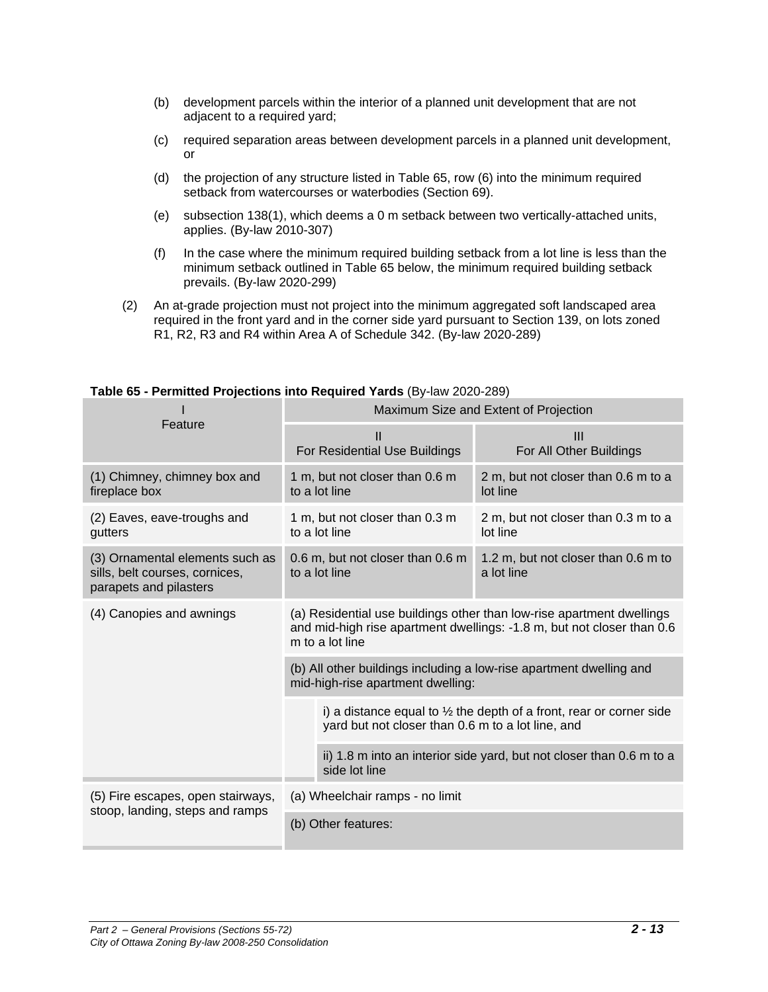- (b) development parcels within the interior of a planned unit development that are not adjacent to a required yard;
- (c) required separation areas between development parcels in a planned unit development, or
- (d) the projection of any structure listed in Table 65, row (6) into the minimum required setback from watercourses or waterbodies (Section 69).
- (e) subsection 138(1), which deems a 0 m setback between two vertically-attached units, applies. (By-law 2010-307)
- (f) In the case where the minimum required building setback from a lot line is less than the minimum setback outlined in Table 65 below, the minimum required building setback prevails. (By-law 2020-299)
- (2) An at-grade projection must not project into the minimum aggregated soft landscaped area required in the front yard and in the corner side yard pursuant to Section 139, on lots zoned R1, R2, R3 and R4 within Area A of Schedule 342. (By-law 2020-289)

|                                                                                             | Maximum Size and Extent of Projection                                                                                                                              |                                                   |  |  |  |  |  |
|---------------------------------------------------------------------------------------------|--------------------------------------------------------------------------------------------------------------------------------------------------------------------|---------------------------------------------------|--|--|--|--|--|
| Feature                                                                                     | Ш<br>For Residential Use Buildings                                                                                                                                 | $\mathbf{III}$<br>For All Other Buildings         |  |  |  |  |  |
| (1) Chimney, chimney box and<br>fireplace box                                               | 1 m, but not closer than 0.6 m<br>to a lot line                                                                                                                    | 2 m, but not closer than 0.6 m to a<br>lot line   |  |  |  |  |  |
| (2) Eaves, eave-troughs and<br>gutters                                                      | 1 m, but not closer than 0.3 m<br>to a lot line                                                                                                                    | 2 m, but not closer than 0.3 m to a<br>lot line   |  |  |  |  |  |
| (3) Ornamental elements such as<br>sills, belt courses, cornices,<br>parapets and pilasters | 0.6 m, but not closer than 0.6 m<br>to a lot line                                                                                                                  | 1.2 m, but not closer than 0.6 m to<br>a lot line |  |  |  |  |  |
| (4) Canopies and awnings                                                                    | (a) Residential use buildings other than low-rise apartment dwellings<br>and mid-high rise apartment dwellings: -1.8 m, but not closer than 0.6<br>m to a lot line |                                                   |  |  |  |  |  |
|                                                                                             | (b) All other buildings including a low-rise apartment dwelling and<br>mid-high-rise apartment dwelling:                                                           |                                                   |  |  |  |  |  |
|                                                                                             | i) a distance equal to $\frac{1}{2}$ the depth of a front, rear or corner side<br>yard but not closer than 0.6 m to a lot line, and                                |                                                   |  |  |  |  |  |
|                                                                                             | ii) 1.8 m into an interior side yard, but not closer than 0.6 m to a<br>side lot line                                                                              |                                                   |  |  |  |  |  |
| (5) Fire escapes, open stairways,                                                           | (a) Wheelchair ramps - no limit                                                                                                                                    |                                                   |  |  |  |  |  |
| stoop, landing, steps and ramps                                                             | (b) Other features:                                                                                                                                                |                                                   |  |  |  |  |  |

#### **Table 65 - Permitted Projections into Required Yards** (By-law 2020-289)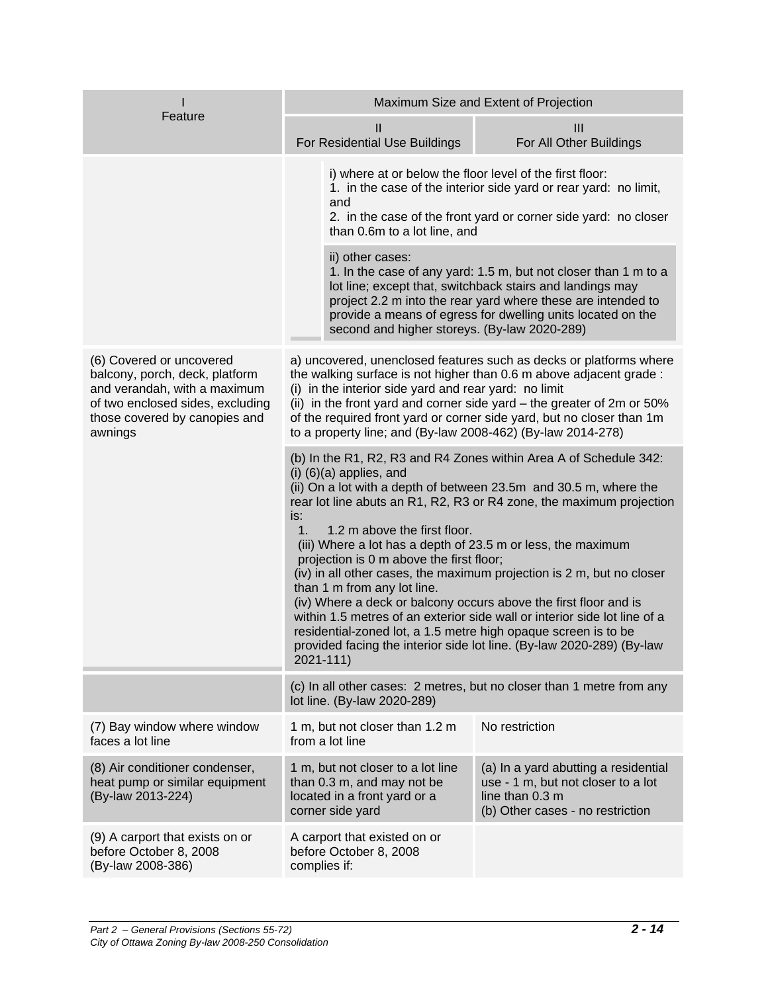|                                                                                                                                                                            | Maximum Size and Extent of Projection                                                                                                                                                                                                                                                                                                                                                                                                                                                                                                                                                                                                                                                                                                                                                                                   |                                                                                                                                                                                                                                                                                                             |  |  |  |  |  |
|----------------------------------------------------------------------------------------------------------------------------------------------------------------------------|-------------------------------------------------------------------------------------------------------------------------------------------------------------------------------------------------------------------------------------------------------------------------------------------------------------------------------------------------------------------------------------------------------------------------------------------------------------------------------------------------------------------------------------------------------------------------------------------------------------------------------------------------------------------------------------------------------------------------------------------------------------------------------------------------------------------------|-------------------------------------------------------------------------------------------------------------------------------------------------------------------------------------------------------------------------------------------------------------------------------------------------------------|--|--|--|--|--|
| Feature                                                                                                                                                                    | Ш<br>For Residential Use Buildings                                                                                                                                                                                                                                                                                                                                                                                                                                                                                                                                                                                                                                                                                                                                                                                      | Ш<br>For All Other Buildings                                                                                                                                                                                                                                                                                |  |  |  |  |  |
|                                                                                                                                                                            | i) where at or below the floor level of the first floor:<br>and<br>than 0.6m to a lot line, and                                                                                                                                                                                                                                                                                                                                                                                                                                                                                                                                                                                                                                                                                                                         | 1. in the case of the interior side yard or rear yard: no limit,<br>2. in the case of the front yard or corner side yard: no closer                                                                                                                                                                         |  |  |  |  |  |
|                                                                                                                                                                            | ii) other cases:                                                                                                                                                                                                                                                                                                                                                                                                                                                                                                                                                                                                                                                                                                                                                                                                        | 1. In the case of any yard: 1.5 m, but not closer than 1 m to a<br>lot line; except that, switchback stairs and landings may<br>project 2.2 m into the rear yard where these are intended to<br>provide a means of egress for dwelling units located on the<br>second and higher storeys. (By-law 2020-289) |  |  |  |  |  |
| (6) Covered or uncovered<br>balcony, porch, deck, platform<br>and verandah, with a maximum<br>of two enclosed sides, excluding<br>those covered by canopies and<br>awnings | a) uncovered, unenclosed features such as decks or platforms where<br>the walking surface is not higher than 0.6 m above adjacent grade :<br>(i) in the interior side yard and rear yard: no limit<br>(ii) in the front yard and corner side yard – the greater of 2m or 50%<br>of the required front yard or corner side yard, but no closer than 1m<br>to a property line; and (By-law 2008-462) (By-law 2014-278)                                                                                                                                                                                                                                                                                                                                                                                                    |                                                                                                                                                                                                                                                                                                             |  |  |  |  |  |
|                                                                                                                                                                            | (b) In the R1, R2, R3 and R4 Zones within Area A of Schedule 342:<br>$(i)$ $(6)(a)$ applies, and<br>(ii) On a lot with a depth of between 23.5m and 30.5 m, where the<br>rear lot line abuts an R1, R2, R3 or R4 zone, the maximum projection<br>is:<br>1.2 m above the first floor.<br>1.<br>(iii) Where a lot has a depth of 23.5 m or less, the maximum<br>projection is 0 m above the first floor;<br>(iv) in all other cases, the maximum projection is 2 m, but no closer<br>than 1 m from any lot line.<br>(iv) Where a deck or balcony occurs above the first floor and is<br>within 1.5 metres of an exterior side wall or interior side lot line of a<br>residential-zoned lot, a 1.5 metre high opaque screen is to be<br>provided facing the interior side lot line. (By-law 2020-289) (By-law<br>2021-111) |                                                                                                                                                                                                                                                                                                             |  |  |  |  |  |
|                                                                                                                                                                            | lot line. (By-law 2020-289)                                                                                                                                                                                                                                                                                                                                                                                                                                                                                                                                                                                                                                                                                                                                                                                             | (c) In all other cases: 2 metres, but no closer than 1 metre from any                                                                                                                                                                                                                                       |  |  |  |  |  |
| (7) Bay window where window<br>faces a lot line                                                                                                                            | 1 m, but not closer than 1.2 m<br>from a lot line                                                                                                                                                                                                                                                                                                                                                                                                                                                                                                                                                                                                                                                                                                                                                                       | No restriction                                                                                                                                                                                                                                                                                              |  |  |  |  |  |
| (8) Air conditioner condenser,<br>heat pump or similar equipment<br>(By-law 2013-224)                                                                                      | 1 m, but not closer to a lot line<br>than 0.3 m, and may not be<br>located in a front yard or a<br>corner side yard                                                                                                                                                                                                                                                                                                                                                                                                                                                                                                                                                                                                                                                                                                     | (a) In a yard abutting a residential<br>use - 1 m, but not closer to a lot<br>line than 0.3 m<br>(b) Other cases - no restriction                                                                                                                                                                           |  |  |  |  |  |
| (9) A carport that exists on or<br>before October 8, 2008<br>(By-law 2008-386)                                                                                             | A carport that existed on or<br>before October 8, 2008<br>complies if:                                                                                                                                                                                                                                                                                                                                                                                                                                                                                                                                                                                                                                                                                                                                                  |                                                                                                                                                                                                                                                                                                             |  |  |  |  |  |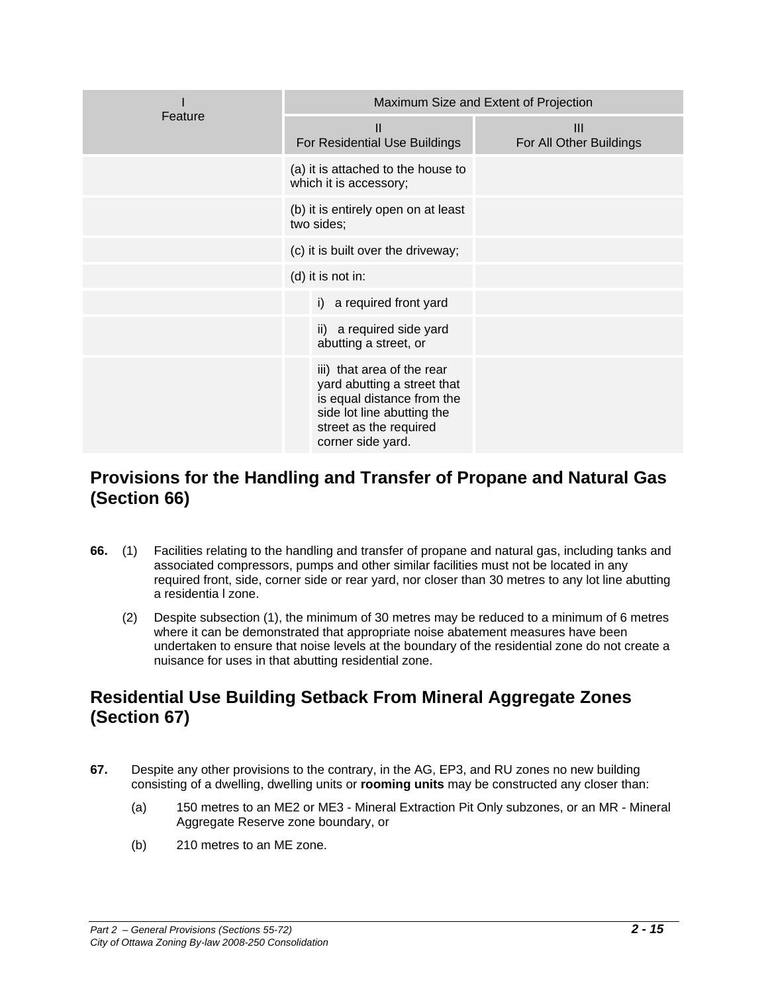|         | Maximum Size and Extent of Projection                                                                                                                                |                                           |  |  |  |  |  |
|---------|----------------------------------------------------------------------------------------------------------------------------------------------------------------------|-------------------------------------------|--|--|--|--|--|
| Feature | $\mathbf{H}$<br>For Residential Use Buildings                                                                                                                        | $\mathbf{III}$<br>For All Other Buildings |  |  |  |  |  |
|         | (a) it is attached to the house to<br>which it is accessory;                                                                                                         |                                           |  |  |  |  |  |
|         | (b) it is entirely open on at least<br>two sides;                                                                                                                    |                                           |  |  |  |  |  |
|         | (c) it is built over the driveway;                                                                                                                                   |                                           |  |  |  |  |  |
|         | (d) it is not in:                                                                                                                                                    |                                           |  |  |  |  |  |
|         | i) a required front yard                                                                                                                                             |                                           |  |  |  |  |  |
|         | ii) a required side yard<br>abutting a street, or                                                                                                                    |                                           |  |  |  |  |  |
|         | iii) that area of the rear<br>yard abutting a street that<br>is equal distance from the<br>side lot line abutting the<br>street as the required<br>corner side yard. |                                           |  |  |  |  |  |

#### **Provisions for the Handling and Transfer of Propane and Natural Gas (Section 66)**

- **66.** (1) Facilities relating to the handling and transfer of propane and natural gas, including tanks and associated compressors, pumps and other similar facilities must not be located in any required front, side, corner side or rear yard, nor closer than 30 metres to any lot line abutting a residentia l zone.
	- (2) Despite subsection (1), the minimum of 30 metres may be reduced to a minimum of 6 metres where it can be demonstrated that appropriate noise abatement measures have been undertaken to ensure that noise levels at the boundary of the residential zone do not create a nuisance for uses in that abutting residential zone.

#### **Residential Use Building Setback From Mineral Aggregate Zones (Section 67)**

- **67.** Despite any other provisions to the contrary, in the AG, EP3, and RU zones no new building consisting of a dwelling, dwelling units or **rooming units** may be constructed any closer than:
	- (a) 150 metres to an ME2 or ME3 Mineral Extraction Pit Only subzones, or an MR Mineral Aggregate Reserve zone boundary, or
	- (b) 210 metres to an ME zone.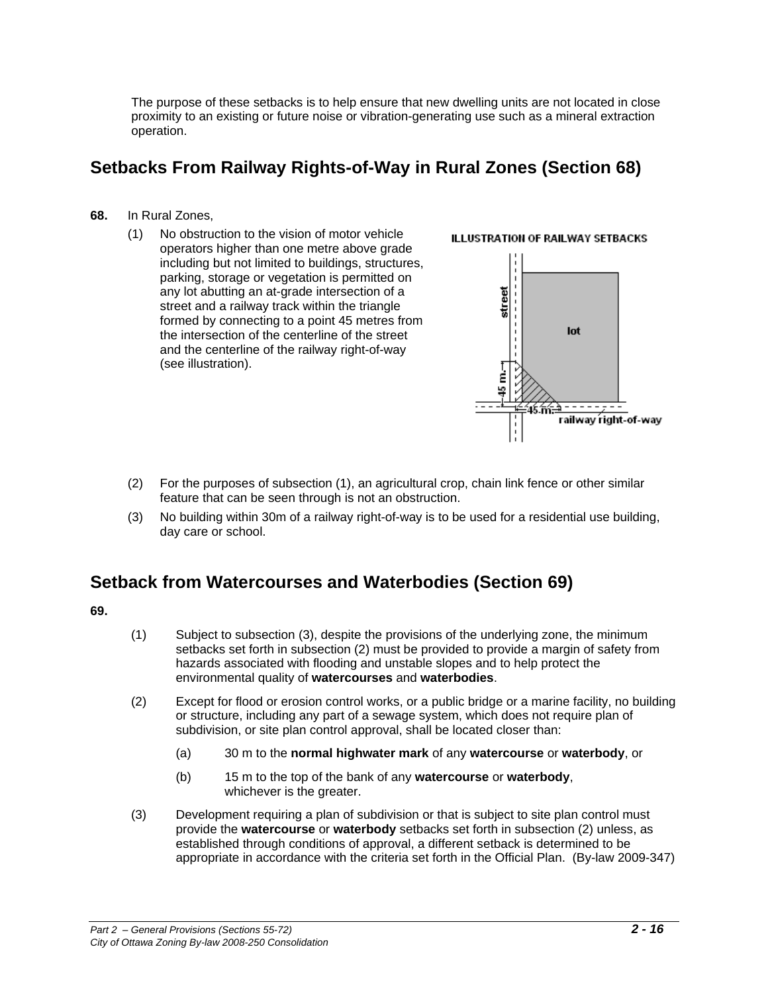The purpose of these setbacks is to help ensure that new dwelling units are not located in close proximity to an existing or future noise or vibration-generating use such as a mineral extraction operation.

#### **Setbacks From Railway Rights-of-Way in Rural Zones (Section 68)**

- **68.** In Rural Zones,
	- (1) No obstruction to the vision of motor vehicle operators higher than one metre above grade including but not limited to buildings, structures, parking, storage or vegetation is permitted on any lot abutting an at-grade intersection of a street and a railway track within the triangle formed by connecting to a point 45 metres from the intersection of the centerline of the street and the centerline of the railway right-of-way (see illustration).



- (2) For the purposes of subsection (1), an agricultural crop, chain link fence or other similar feature that can be seen through is not an obstruction.
- (3) No building within 30m of a railway right-of-way is to be used for a residential use building, day care or school.

#### **Setback from Watercourses and Waterbodies (Section 69)**

**69.**

- (1) Subject to subsection (3), despite the provisions of the underlying zone, the minimum setbacks set forth in subsection (2) must be provided to provide a margin of safety from hazards associated with flooding and unstable slopes and to help protect the environmental quality of **watercourses** and **waterbodies**.
- (2) Except for flood or erosion control works, or a public bridge or a marine facility, no building or structure, including any part of a sewage system, which does not require plan of subdivision, or site plan control approval, shall be located closer than:
	- (a) 30 m to the **normal highwater mark** of any **watercourse** or **waterbody**, or
	- (b) 15 m to the top of the bank of any **watercourse** or **waterbody**, whichever is the greater.
- (3) Development requiring a plan of subdivision or that is subject to site plan control must provide the **watercourse** or **waterbody** setbacks set forth in subsection (2) unless, as established through conditions of approval, a different setback is determined to be appropriate in accordance with the criteria set forth in the Official Plan. (By-law 2009-347)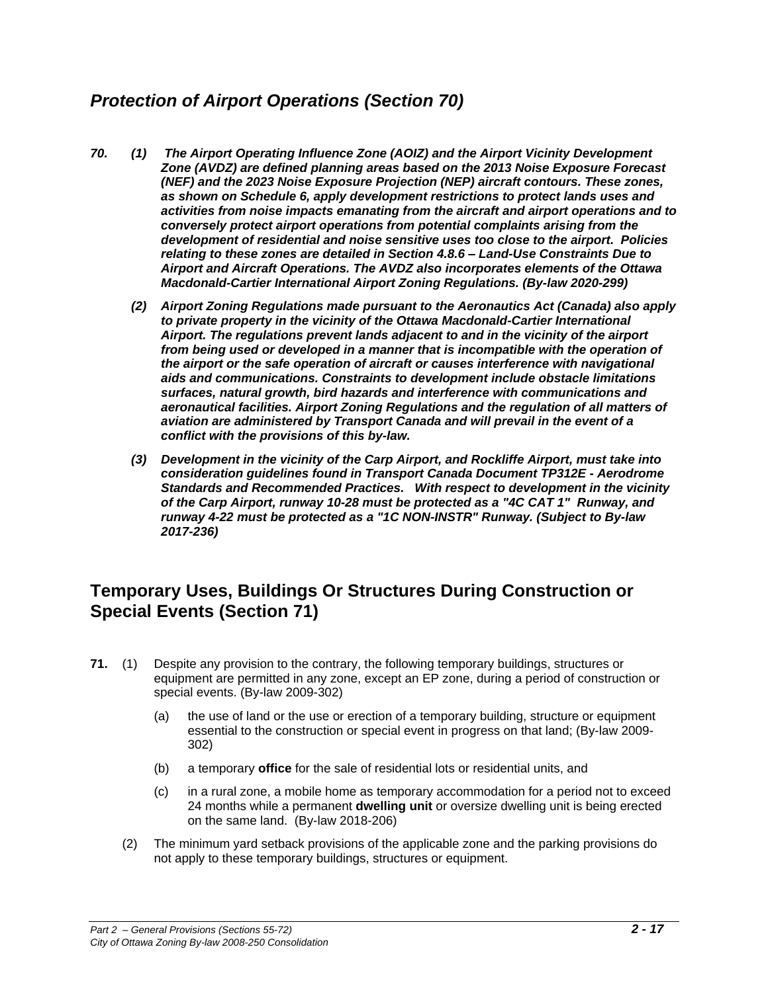## *Protection of Airport Operations (Section 70)*

- *70. (1) The Airport Operating Influence Zone (AOIZ) and the Airport Vicinity Development Zone (AVDZ) are defined planning areas based on the 2013 Noise Exposure Forecast (NEF) and the 2023 Noise Exposure Projection (NEP) aircraft contours. These zones, as shown on Schedule 6, apply development restrictions to protect lands uses and activities from noise impacts emanating from the aircraft and airport operations and to conversely protect airport operations from potential complaints arising from the development of residential and noise sensitive uses too close to the airport. Policies relating to these zones are detailed in Section 4.8.6 – Land-Use Constraints Due to Airport and Aircraft Operations. The AVDZ also incorporates elements of the Ottawa Macdonald-Cartier International Airport Zoning Regulations. (By-law 2020-299)*
	- *(2) Airport Zoning Regulations made pursuant to the Aeronautics Act (Canada) also apply to private property in the vicinity of the Ottawa Macdonald-Cartier International Airport. The regulations prevent lands adjacent to and in the vicinity of the airport*  from being used or developed in a manner that is incompatible with the operation of *the airport or the safe operation of aircraft or causes interference with navigational aids and communications. Constraints to development include obstacle limitations surfaces, natural growth, bird hazards and interference with communications and aeronautical facilities. Airport Zoning Regulations and the regulation of all matters of aviation are administered by Transport Canada and will prevail in the event of a conflict with the provisions of this by-law.*
	- *(3) Development in the vicinity of the Carp Airport, and Rockliffe Airport, must take into consideration guidelines found in Transport Canada Document TP312E - Aerodrome Standards and Recommended Practices. With respect to development in the vicinity of the Carp Airport, runway 10-28 must be protected as a "4C CAT 1" Runway, and runway 4-22 must be protected as a "1C NON-INSTR" Runway. (Subject to By-law 2017-236)*

#### **Temporary Uses, Buildings Or Structures During Construction or Special Events (Section 71)**

- **71.** (1) Despite any provision to the contrary, the following temporary buildings, structures or equipment are permitted in any zone, except an EP zone, during a period of construction or special events. (By-law 2009-302)
	- (a) the use of land or the use or erection of a temporary building, structure or equipment essential to the construction or special event in progress on that land; (By-law 2009- 302)
	- (b) a temporary **office** for the sale of residential lots or residential units, and
	- (c) in a rural zone, a mobile home as temporary accommodation for a period not to exceed 24 months while a permanent **dwelling unit** or oversize dwelling unit is being erected on the same land. (By-law 2018-206)
	- (2) The minimum yard setback provisions of the applicable zone and the parking provisions do not apply to these temporary buildings, structures or equipment.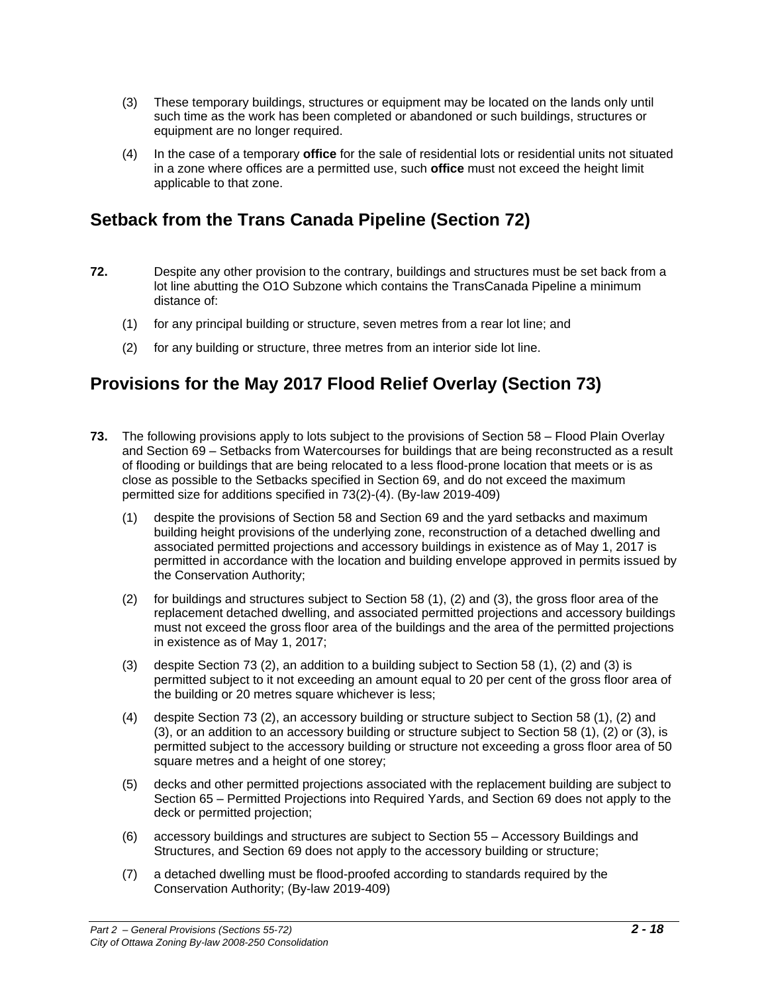- (3) These temporary buildings, structures or equipment may be located on the lands only until such time as the work has been completed or abandoned or such buildings, structures or equipment are no longer required.
- (4) In the case of a temporary **office** for the sale of residential lots or residential units not situated in a zone where offices are a permitted use, such **office** must not exceed the height limit applicable to that zone.

#### **Setback from the Trans Canada Pipeline (Section 72)**

- **72.** Despite any other provision to the contrary, buildings and structures must be set back from a lot line abutting the O1O Subzone which contains the TransCanada Pipeline a minimum distance of:
	- (1) for any principal building or structure, seven metres from a rear lot line; and
	- (2) for any building or structure, three metres from an interior side lot line.

## **Provisions for the May 2017 Flood Relief Overlay (Section 73)**

- **73.** The following provisions apply to lots subject to the provisions of Section 58 Flood Plain Overlay and Section 69 – Setbacks from Watercourses for buildings that are being reconstructed as a result of flooding or buildings that are being relocated to a less flood-prone location that meets or is as close as possible to the Setbacks specified in Section 69, and do not exceed the maximum permitted size for additions specified in 73(2)-(4). (By-law 2019-409)
	- (1) despite the provisions of Section 58 and Section 69 and the yard setbacks and maximum building height provisions of the underlying zone, reconstruction of a detached dwelling and associated permitted projections and accessory buildings in existence as of May 1, 2017 is permitted in accordance with the location and building envelope approved in permits issued by the Conservation Authority;
	- (2) for buildings and structures subject to Section 58 (1), (2) and (3), the gross floor area of the replacement detached dwelling, and associated permitted projections and accessory buildings must not exceed the gross floor area of the buildings and the area of the permitted projections in existence as of May 1, 2017;
	- (3) despite Section 73 (2), an addition to a building subject to Section 58 (1), (2) and (3) is permitted subject to it not exceeding an amount equal to 20 per cent of the gross floor area of the building or 20 metres square whichever is less;
	- (4) despite Section 73 (2), an accessory building or structure subject to Section 58 (1), (2) and (3), or an addition to an accessory building or structure subject to Section 58 (1), (2) or (3), is permitted subject to the accessory building or structure not exceeding a gross floor area of 50 square metres and a height of one storey;
	- (5) decks and other permitted projections associated with the replacement building are subject to Section 65 – Permitted Projections into Required Yards, and Section 69 does not apply to the deck or permitted projection;
	- (6) accessory buildings and structures are subject to Section 55 Accessory Buildings and Structures, and Section 69 does not apply to the accessory building or structure;
	- (7) a detached dwelling must be flood-proofed according to standards required by the Conservation Authority; (By-law 2019-409)